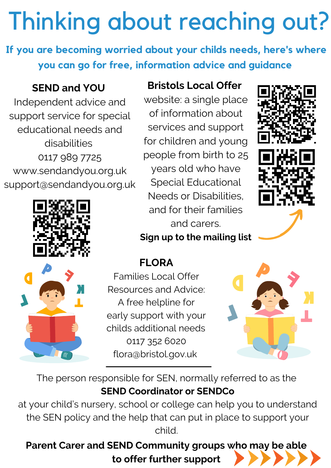**Parent Carer and SEND Community groups who may be able to offer further support**

The person responsible for SEN, normally referred to as the **SEND Coordinator or SENDCo**

at your child's nursery, school or college can help you to understand the SEN policy and the help that can put in place to support your child.

### **FLORA**

Families Local Offer Resources and Advice: A free helpline for early support with your childs additional needs 0117 352 6020 flora@bristol.gov.uk



**If you are becoming worried about your childs needs, here's where you can go for free, information advice and guidance**

# Thinking about reaching out?

#### **SEND and YOU**

Independent advice and support service for special educational needs and disabilities 0117 989 7725 www.sendandyou.org.uk support@sendandyou.org.uk



#### **Bristols Local Offer**

website: a single place of information about services and support for children and young people from birth to 25 years old who have Special Educational Needs or Disabilities, and for their families and carers.

**Sign up to the mailing list**



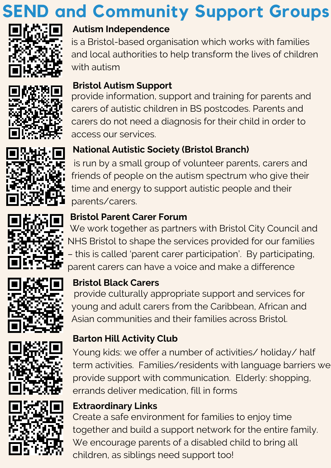### **SEND and Community Support Groups**



#### **Autism Independence**

is a Bristol-based organisation which works with families and local authorities to help transform the lives of children with autism



#### **Bristol Autism Support**

provide information, support and training for parents and carers of autistic children in BS postcodes. Parents and carers do not need a diagnosis for their child in order to access our services.



#### **National Autistic Society (Bristol Branch)**

is run by a small group of volunteer parents, carers and friends of people on the autism spectrum who give their time and energy to support autistic people and their parents/carers.



#### **Bristol Parent Carer Forum**

#### **Bristol Black Carers**

Young kids: we offer a number of activities/ holiday/ half term activities. Families/residents with language barriers we provide support with communication. Elderly: shopping, errands deliver medication, fill in forms

#### **Barton Hill Activity Club**

#### **Extraordinary Links**

We work together as partners with Bristol City Council and NHS Bristol to shape the services provided for our families

– this is called 'parent carer participation'. By participating, parent carers can have a voice and make a difference







provide culturally appropriate support and services for young and adult carers from the Caribbean, African and Asian communities and their families across Bristol.

Create a safe environment for families to enjoy time together and build a support network for the entire family. We encourage parents of a disabled child to bring all children, as siblings need support too!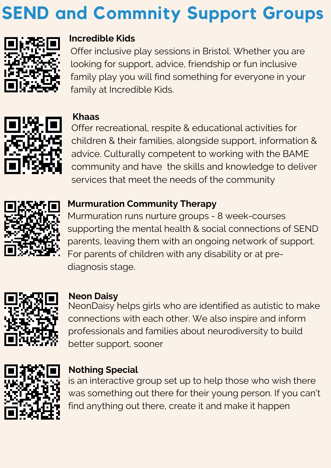## **SEND and Commnity Support Groups**



#### **Incredible Kids**

Offer inclusive play sessions in Bristol. Whether you are looking for support, advice, friendship or fun inclusive family play you will find something for everyone in your family at Incredible Kids.



**Khaas**

Offer recreational, respite & educational activities for children & their families, alongside support, information & advice. Culturally competent to working with the BAME community and have the skills and knowledge to deliver services that meet the needs of the community



#### **Murmuration Community Therapy**

#### **Neon Daisy**

93. ST 2004 For parents of children with any disability or at prediagnosis stage.



NeonDaisy helps girls who are identified as autistic to make connections with each other. We also inspire and inform professionals and families about neurodiversity to build better support, sooner



#### **Nothing Special**

is an interactive group set up to help those who wish there was something out there for their young person. If you can't find anything out there, create it and make it happen

Murmuration runs nurture groups - 8 week-courses supporting the mental health & social connections of SEND parents, leaving them with an ongoing network of support.